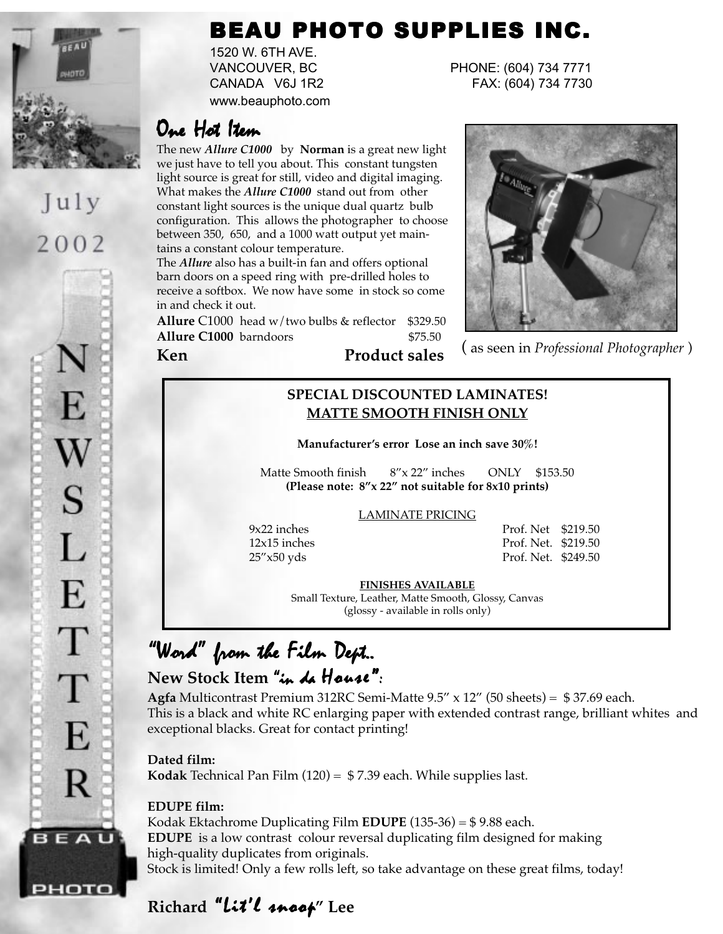

July 2002

E  $\mathbf W$ S L E T T E R BEAU

рното

### BEAU PHOTO SUPPLIES INC.

1520 W. 6TH AVE. www.beauphoto.com

VANCOUVER, BC PHONE: (604) 734 7771 CANADA V6J 1R2 FAX: (604) 734 7730

### One Hot Item

The new *Allure C1000* by **Norman** is a great new light we just have to tell you about. This constant tungsten light source is great for still, video and digital imaging. What makes the *Allure C1000* stand out from other constant light sources is the unique dual quartz bulb configuration. This allows the photographer to choose between 350, 650, and a 1000 watt output yet maintains a constant colour temperature.

The *Allure* also has a built-in fan and offers optional barn doors on a speed ring with pre-drilled holes to receive a softbox. We now have some in stock so come in and check it out.

**Allure** C1000 head w/two bulbs & reflector \$329.50



**Allure C1000** barndoors  $\begin{array}{c} \text{$>$75.50} \\ \text{Ken} \end{array}$  (as seen in *Professional Photographer* )

### **SPECIAL DISCOUNTED LAMINATES! MATTE SMOOTH FINISH ONLY**

**Manufacturer's error Lose an inch save 30%!**

Matte Smooth finish 8"x 22" inches ONLY \$153.50 **(Please note: 8"x 22" not suitable for 8x10 prints)**

#### LAMINATE PRICING

9x22 inches Prof. Net \$219.50 12x15 inches Prof. Net. \$219.50 25"x50 yds Prof. Net. \$249.50

**FINISHES AVAILABLE**

Small Texture, Leather, Matte Smooth, Glossy, Canvas (glossy - available in rolls only)

### "Word" from the Film Dept.. New Stock Item "in de House":

**Agfa** Multicontrast Premium 312RC Semi-Matte 9.5" x 12" (50 sheets) = \$ 37.69 each. This is a black and white RC enlarging paper with extended contrast range, brilliant whites and exceptional blacks. Great for contact printing!

**Dated film:**

**Kodak** Technical Pan Film (120) = \$ 7.39 each. While supplies last.

#### **EDUPE film:**

Kodak Ektachrome Duplicating Film **EDUPE** (135-36) = \$ 9.88 each. **EDUPE** is a low contrast colour reversal duplicating film designed for making high-quality duplicates from originals. Stock is limited! Only a few rolls left, so take advantage on these great films, today!

### Richard "Lit'l snoot" Lee